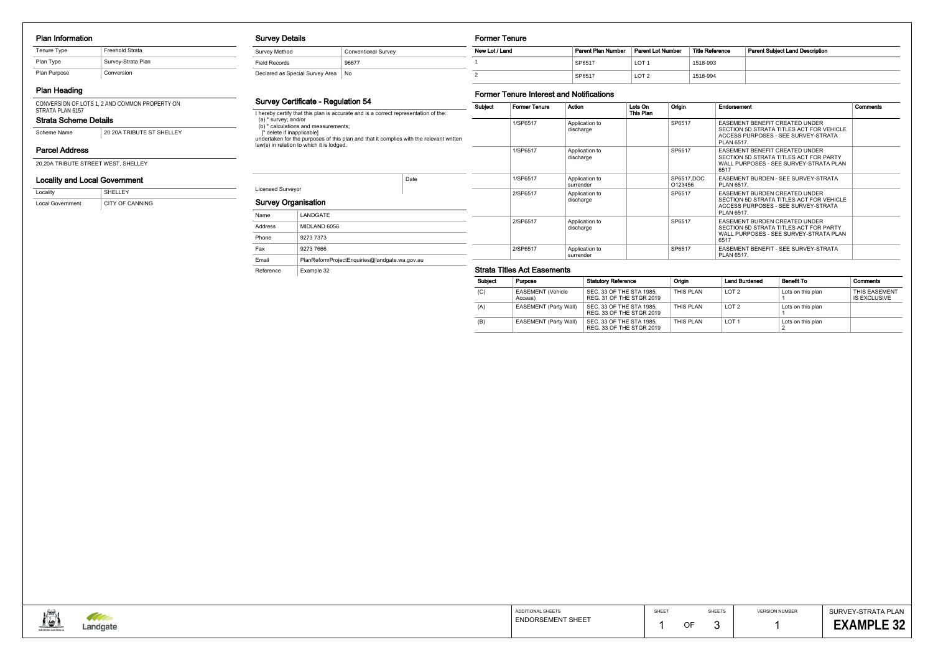#### Plan Information

## Plan Heading

CONVERSION OF LOTS 1, 2 AND COMMON PROPERTY ON

#### Survey Details

Survey Method Conventional Survey Field Records 86677 Declared as Special Survey Area No

#### Survey Certificate - Regulation 54

I hereby certify that this plan is accurate and is a correct representation of the: (a) \* survey; and/or (b) \* calculations and measurements; [\* delete if inapplicable] undertaken for the purposes of this plan and that it complies with the relevant written law(s) in relation to which it is lodged.

# Licensed Surveyor

Date

Reference Example 32

| <b>Survey Organisation</b> |                                               |  |
|----------------------------|-----------------------------------------------|--|
| Name                       | LANDGATE                                      |  |
| Address                    | MIDLAND 6056                                  |  |
| Phone                      | 9273 7373                                     |  |
| Fax                        | 9273 7666                                     |  |
| Email                      | PlanReformProjectEnquiries@landgate.wa.gov.au |  |

#### Former Tenure

| .              |                    |                   |                        |                                        |
|----------------|--------------------|-------------------|------------------------|----------------------------------------|
| New Lot / Land | Parent Plan Number | Parent Lot Number | <b>Title Reference</b> | <b>Parent Subiect Land Description</b> |
|                | SP6517             | LOT 1             | 1518-993               |                                        |
| ◠              | SP6517             | LOT <sub>2</sub>  | 1518-994               |                                        |

### Former Tenure Interest and Notifications

#### Strata Scheme Details STRATA PLAN 6157

Scheme Name 20 20A TRIBUTE ST SHELLEY

| Subject | <b>Former Tenure</b> | Action                      | Lots On<br>This Plan | Origin                | Endorsement                                                                                                                       | Comments |
|---------|----------------------|-----------------------------|----------------------|-----------------------|-----------------------------------------------------------------------------------------------------------------------------------|----------|
|         | 1/SP6517             | Application to<br>discharge |                      | SP6517                | EASEMENT BENEFIT CREATED UNDER<br>SECTION 5D STRATA TITLES ACT FOR VEHICLE<br>ACCESS PURPOSES - SEE SURVEY-STRATA<br>PLAN 6517.   |          |
|         | 1/SP6517             | Application to<br>discharge |                      | SP6517                | <b>EASEMENT BENEFIT CREATED UNDER</b><br>SECTION 5D STRATA TITLES ACT FOR PARTY<br>WALL PURPOSES - SEE SURVEY-STRATA PLAN<br>6517 |          |
|         | 1/SP6517             | Application to<br>surrender |                      | SP6517,DOC<br>O123456 | EASEMENT BURDEN - SEE SURVEY-STRATA<br>PLAN 6517.                                                                                 |          |
|         | 2/SP6517             | Application to<br>discharge |                      | SP6517                | EASEMENT BURDEN CREATED UNDER<br>SECTION 5D STRATA TITLES ACT FOR VEHICLE<br>ACCESS PURPOSES - SEE SURVEY-STRATA<br>PLAN 6517.    |          |
|         | 2/SP6517             | Application to<br>discharge |                      | SP6517                | <b>EASEMENT BURDEN CREATED UNDER</b><br>SECTION 5D STRATA TITLES ACT FOR PARTY<br>WALL PURPOSES - SEE SURVEY-STRATA PLAN<br>6517  |          |
|         | 2/SP6517             | Application to<br>surrender |                      | SP6517                | EASEMENT BENEFIT - SEE SURVEY-STRATA<br>PLAN 6517.                                                                                |          |

#### Strata Titles Act Easements

| Locality                | SHELLEY         |
|-------------------------|-----------------|
| <b>Local Government</b> | CITY OF CANNING |

## Locality and Local Government

20,20A TRIBUTE STREET WEST, SHELLEY

## Parcel Address

| <b>Subject</b> | Purpose                             | <b>Statutory Reference</b>                           | Origin    | <b>Land Burdened</b> | <b>Benefit To</b> | Comments                             |
|----------------|-------------------------------------|------------------------------------------------------|-----------|----------------------|-------------------|--------------------------------------|
| (C)            | <b>EASEMENT (Vehicle</b><br>Access) | SEC. 33 OF THE STA 1985,<br>REG. 31 OF THE STGR 2019 | THIS PLAN | LOT <sub>2</sub>     | Lots on this plan | <b>THIS EASEMENT</b><br>IS EXCLUSIVE |
| (A)            | <b>EASEMENT (Party Wall)</b>        | SEC. 33 OF THE STA 1985,<br>REG. 33 OF THE STGR 2019 | THIS PLAN | LOT <sub>2</sub>     | Lots on this plan |                                      |
| (B)            | <b>EASEMENT (Party Wall)</b>        | SEC. 33 OF THE STA 1985,<br>REG. 33 OF THE STGR 2019 | THIS PLAN | LOT 1                | Lots on this plan |                                      |



| Tenure Type  | Freehold Strata    |
|--------------|--------------------|
| Plan Type    | Survey-Strata Plan |
| Plan Purpose | Conversion         |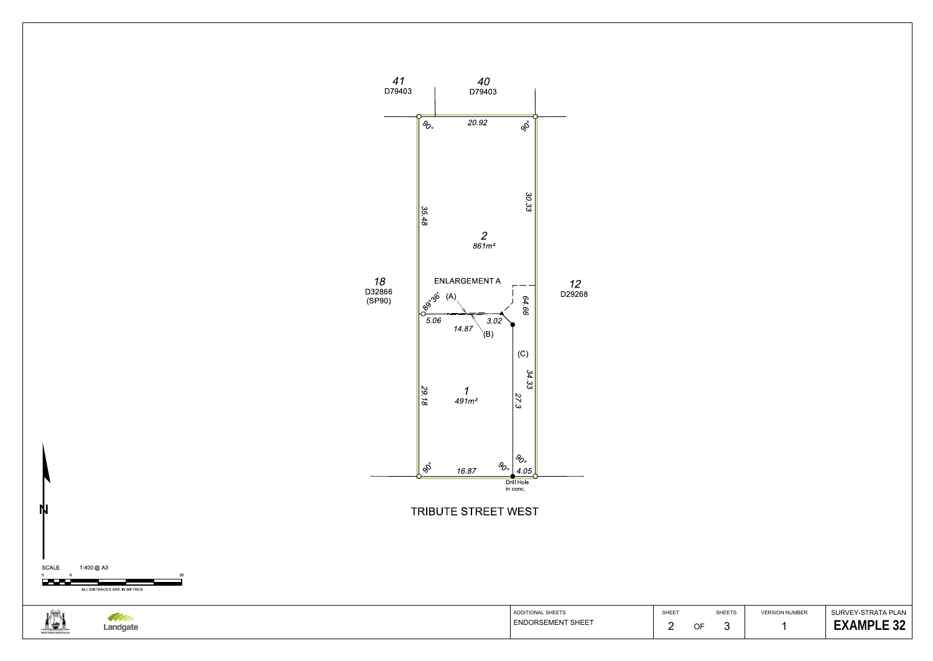